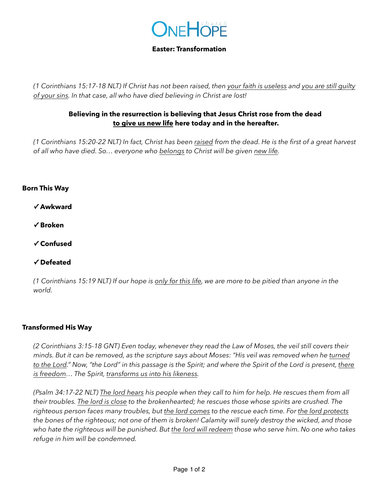

### **Easter: Transformation**

*(1 Corinthians 15:17-18 NLT) If Christ has not been raised, then your faith is useless and you are still guilty of your sins. In that case, all who have died believing in Christ are lost!*

## **Believing in the resurrection is believing that Jesus Christ rose from the dead to give us new life here today and in the hereafter.**

*(1 Corinthians 15:20-22 NLT) In fact, Christ has been raised from the dead. He is the first of a great harvest of all who have died. So… everyone who belongs to Christ will be given new life.*

### **Born This Way**

**✓ Awkward** 

**✓ Broken** 

**✓ Confused** 

### **✓ Defeated**

*(1 Corinthians 15:19 NLT) If our hope is only for this life, we are more to be pitied than anyone in the world.*

### **Transformed His Way**

*(2 Corinthians 3:15-18 GNT) Even today, whenever they read the Law of Moses, the veil still covers their minds. But it can be removed, as the scripture says about Moses: "His veil was removed when he turned to the Lord." Now, "the Lord" in this passage is the Spirit; and where the Spirit of the Lord is present, there is freedom… The Spirit, transforms us into his likeness.*

*(Psalm 34:17-22 NLT) The lord hears his people when they call to him for help. He rescues them from all their troubles. The lord is close to the brokenhearted; he rescues those whose spirits are crushed. The righteous person faces many troubles, but the lord comes to the rescue each time. For the lord protects the bones of the righteous; not one of them is broken! Calamity will surely destroy the wicked, and those who hate the righteous will be punished. But the lord will redeem those who serve him. No one who takes refuge in him will be condemned.*